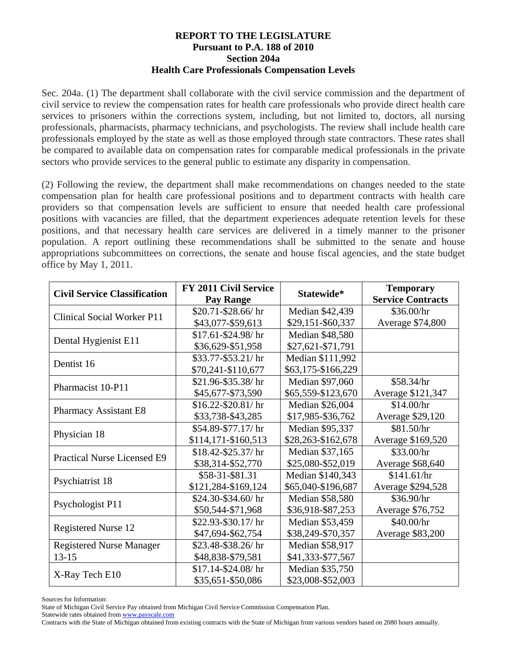## **REPORT TO THE LEGISLATURE Pursuant to P.A. 188 of 2010 Section 204a Health Care Professionals Compensation Levels**

Sec. 204a. (1) The department shall collaborate with the civil service commission and the department of civil service to review the compensation rates for health care professionals who provide direct health care services to prisoners within the corrections system, including, but not limited to, doctors, all nursing professionals, pharmacists, pharmacy technicians, and psychologists. The review shall include health care professionals employed by the state as well as those employed through state contractors. These rates shall be compared to available data on compensation rates for comparable medical professionals in the private sectors who provide services to the general public to estimate any disparity in compensation.

(2) Following the review, the department shall make recommendations on changes needed to the state compensation plan for health care professional positions and to department contracts with health care providers so that compensation levels are sufficient to ensure that needed health care professional positions with vacancies are filled, that the department experiences adequate retention levels for these positions, and that necessary health care services are delivered in a timely manner to the prisoner population. A report outlining these recommendations shall be submitted to the senate and house appropriations subcommittees on corrections, the senate and house fiscal agencies, and the state budget office by May 1, 2011.

| <b>Civil Service Classification</b> | FY 2011 Civil Service<br>Pay Range | Statewide*         | <b>Temporary</b><br><b>Service Contracts</b> |
|-------------------------------------|------------------------------------|--------------------|----------------------------------------------|
| <b>Clinical Social Worker P11</b>   | \$20.71-\$28.66/hr                 | Median \$42,439    | \$36.00/hr                                   |
|                                     | \$43,077-\$59,613                  | \$29,151-\$60,337  | Average \$74,800                             |
| Dental Hygienist E11                | \$17.61-\$24.98/hr                 | Median \$48,580    |                                              |
|                                     | \$36,629-\$51,958                  | \$27,621-\$71,791  |                                              |
| Dentist 16                          | \$33.77-\$53.21/hr                 | Median \$111,992   |                                              |
|                                     | \$70,241-\$110,677                 | \$63,175-\$166,229 |                                              |
| Pharmacist 10-P11                   | \$21.96-\$35.38/hr                 | Median \$97,060    | \$58.34/hr                                   |
|                                     | \$45,677-\$73,590                  | \$65,559-\$123,670 | Average \$121,347                            |
| Pharmacy Assistant E8               | $$16.22 - $20.81/hr$               | Median \$26,004    | \$14.00/hr                                   |
|                                     | \$33,738-\$43,285                  | \$17,985-\$36,762  | Average \$29,120                             |
| Physician 18                        | \$54.89-\$77.17/ hr                | Median \$95,337    | \$81.50/hr                                   |
|                                     | \$114,171-\$160,513                | \$28,263-\$162,678 | Average \$169,520                            |
| <b>Practical Nurse Licensed E9</b>  | \$18.42-\$25.37/hr                 | Median \$37,165    | \$33.00/hr                                   |
|                                     | \$38,314-\$52,770                  | \$25,080-\$52,019  | Average \$68,640                             |
| Psychiatrist 18                     | \$58-31-\$81.31                    | Median \$140,343   | \$141.61/hr                                  |
|                                     | \$121,284-\$169,124                | \$65,040-\$196,687 | Average \$294,528                            |
| Psychologist P11                    | \$24.30-\$34.60/hr                 | Median \$58,580    | \$36.90/hr                                   |
|                                     | \$50,544-\$71,968                  | \$36,918-\$87,253  | Average \$76,752                             |
| <b>Registered Nurse 12</b>          | \$22.93-\$30.17/hr                 | Median \$53,459    | \$40.00/hr                                   |
|                                     | \$47,694-\$62,754                  | \$38,249-\$70,357  | Average \$83,200                             |
| <b>Registered Nurse Manager</b>     | \$23.48-\$38.26/hr                 | Median \$58,917    |                                              |
| $13 - 15$                           | \$48,838-\$79,581                  | \$41,333-\$77,567  |                                              |
| X-Ray Tech E10                      | \$17.14-\$24.08/hr                 | Median \$35,750    |                                              |
|                                     | \$35,651-\$50,086                  | \$23,008-\$52,003  |                                              |

Sources for Information:

State of Michigan Civil Service Pay obtained from Michigan Civil Service Commission Compensation Plan.

Statewide rates obtained from www.payscale.com

Contracts with the State of Michigan obtained from existing contracts with the State of Michigan from various vendors based on 2080 hours annually.